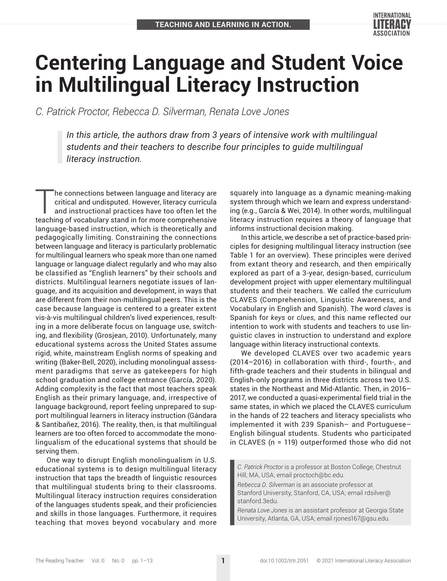

# **Centering Language and Student Voice in Multilingual Literacy Instruction**

*C. Patrick Proctor, Rebecca D. Silverman, Renata Love Jones*

*In this article, the authors draw from 3 years of intensive work with multilingual students and their teachers to describe four principles to guide multilingual literacy instruction.*

he connections between language and literacy are critical and undisputed. However, literacy curricula and instructional practices have too often let the teaching of vocabulary stand in for more comprehensive language-based instruction, which is theoretically and pedagogically limiting. Constraining the connections between language and literacy is particularly problematic for multilingual learners who speak more than one named language or language dialect regularly and who may also be classified as "English learners" by their schools and districts. Multilingual learners negotiate issues of language, and its acquisition and development, in ways that are different from their non-multilingual peers. This is the case because language is centered to a greater extent vis-à-vis multilingual children's lived experiences, resulting in a more deliberate focus on language use, switching, and flexibility (Grosjean, 2010). Unfortunately, many educational systems across the United States assume rigid, white, mainstream English norms of speaking and writing (Baker-Bell, 2020), including monolingual assessment paradigms that serve as gatekeepers for high school graduation and college entrance (García, 2020). Adding complexity is the fact that most teachers speak English as their primary language, and, irrespective of language background, report feeling unprepared to support multilingual learners in literacy instruction (Gándara & Santibañez, 2016). The reality, then, is that multilingual learners are too often forced to accommodate the monolingualism of the educational systems that should be serving them.

One way to disrupt English monolingualism in U.S. educational systems is to design multilingual literacy instruction that taps the breadth of linguistic resources that multilingual students bring to their classrooms. Multilingual literacy instruction requires consideration of the languages students speak, and their proficiencies and skills in those languages. Furthermore, it requires teaching that moves beyond vocabulary and more squarely into language as a dynamic meaning-making system through which we learn and express understanding (e.g., García & Wei, 2014). In other words, multilingual literacy instruction requires a theory of language that informs instructional decision making.

In this article, we describe a set of practice-based principles for designing multilingual literacy instruction (see Table 1 for an overview). These principles were derived from extant theory and research, and then empirically explored as part of a 3-year, design-based, curriculum development project with upper elementary multilingual students and their teachers. We called the curriculum CLAVES (Comprehension, Linguistic Awareness, and Vocabulary in English and Spanish). The word *claves* is Spanish for *keys* or *clues*, and this name reflected our intention to work with students and teachers to use linguistic claves in instruction to understand and explore language within literacy instructional contexts.

We developed CLAVES over two academic years (2014–2016) in collaboration with third-, fourth-, and fifth-grade teachers and their students in bilingual and English-only programs in three districts across two U.S. states in the Northeast and Mid-Atlantic. Then, in 2016– 2017, we conducted a quasi-experimental field trial in the same states, in which we placed the CLAVES curriculum in the hands of 22 teachers and literacy specialists who implemented it with 239 Spanish– and Portuguese– English bilingual students. Students who participated in CLAVES (n = 119) outperformed those who did not

*C. Patrick Proctor* is a professor at Boston College, Chestnut Hill, MA, USA; email [proctoch@bc.edu](mailto:proctoch@bc.edu).

*Rebecca D. Silverman* is an associate professor at Stanford University, Stanford, CA, USA; email [rdsilver@](mailto:rdsilver@stanford.3edu) [stanford.3edu.](mailto:rdsilver@stanford.3edu)

*Renata Love Jones* is an assistant professor at Georgia State University, Atlanta, GA, USA; email [rjones167@gsu.edu](mailto:rjones167@gsu.edu).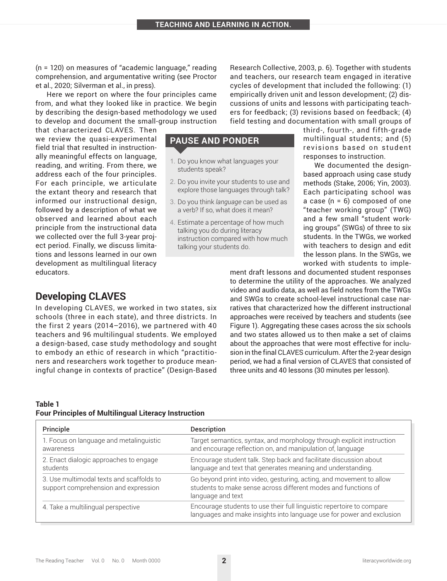(n = 120) on measures of "academic language," reading comprehension, and argumentative writing (see Proctor et al., 2020; Silverman et al., in press).

Here we report on where the four principles came from, and what they looked like in practice. We begin by describing the design-based methodology we used to develop and document the small-group instruction

that characterized CLAVES. Then we review the quasi-experimental field trial that resulted in instructionally meaningful effects on language, reading, and writing. From there, we address each of the four principles. For each principle, we articulate the extant theory and research that informed our instructional design, followed by a description of what we observed and learned about each principle from the instructional data we collected over the full 3-year project period. Finally, we discuss limitations and lessons learned in our own development as multilingual literacy educators.

**Developing CLAVES**

In developing CLAVES, we worked in two states, six schools (three in each state), and three districts. In the first 2 years (2014–2016), we partnered with 40 teachers and 96 multilingual students. We employed a design-based, case study methodology and sought to embody an ethic of research in which "practitioners and researchers work together to produce meaningful change in contexts of practice" (Design-Based

#### **Table 1 Four Principles of Multilingual Literacy Instruction**

Research Collective, 2003, p. 6). Together with students and teachers, our research team engaged in iterative cycles of development that included the following: (1) empirically driven unit and lesson development; (2) discussions of units and lessons with participating teachers for feedback; (3) revisions based on feedback; (4) field testing and documentation with small groups of

## **PAUSE AND PONDER**

- 1. Do you know what languages your students speak?
- 2. Do you invite your students to use and explore those languages through talk?
- 3. Do you think *language* can be used as a verb? If so, what does it mean?
- 4. Estimate a percentage of how much talking you do during literacy instruction compared with how much talking your students do.

third-, fourth-, and fifth-grade multilingual students; and (5) revisions based on student responses to instruction.

We documented the designbased approach using case study methods (Stake, 2006; Yin, 2003). Each participating school was a case (n = 6) composed of one "teacher working group" (TWG) and a few small "student working groups" (SWGs) of three to six students. In the TWGs, we worked with teachers to design and edit the lesson plans. In the SWGs, we worked with students to imple-

ment draft lessons and documented student responses to determine the utility of the approaches. We analyzed video and audio data, as well as field notes from the TWGs and SWGs to create school-level instructional case narratives that characterized how the different instructional approaches were received by teachers and students (see Figure 1). Aggregating these cases across the six schools and two states allowed us to then make a set of claims about the approaches that were most effective for inclusion in the final CLAVES curriculum. After the 2-year design period, we had a final version of CLAVES that consisted of three units and 40 lessons (30 minutes per lesson).

| Principle                                                                        | <b>Description</b>                                                                                                                                          |
|----------------------------------------------------------------------------------|-------------------------------------------------------------------------------------------------------------------------------------------------------------|
| 1. Focus on language and metalinguistic<br>awareness                             | Target semantics, syntax, and morphology through explicit instruction<br>and encourage reflection on, and manipulation of, language                         |
| 2. Enact dialogic approaches to engage<br>students                               | Encourage student talk. Step back and facilitate discussion about<br>language and text that generates meaning and understanding.                            |
| 3. Use multimodal texts and scaffolds to<br>support comprehension and expression | Go beyond print into video, gesturing, acting, and movement to allow<br>students to make sense across different modes and functions of<br>language and text |
| 4. Take a multilingual perspective                                               | Encourage students to use their full linguistic repertoire to compare<br>languages and make insights into language use for power and exclusion              |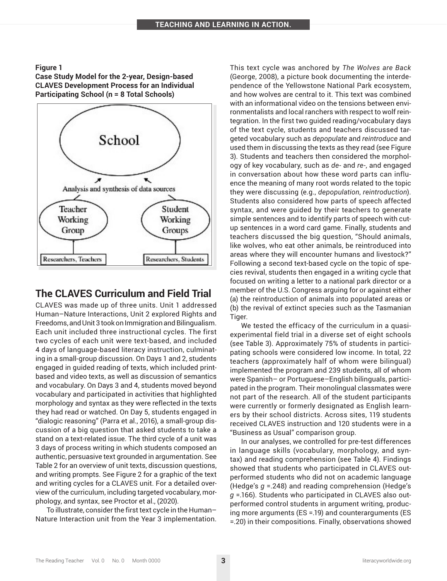#### **Figure 1**

**Case Study Model for the 2-year, Design-based CLAVES Development Process for an Individual Participating School (n = 8 Total Schools)**



# **The CLAVES Curriculum and Field Trial**

CLAVES was made up of three units. Unit 1 addressed Human–Nature Interactions, Unit 2 explored Rights and Freedoms, and Unit 3 took on Immigration and Bilingualism. Each unit included three instructional cycles. The first two cycles of each unit were text-based, and included 4 days of language-based literacy instruction, culminating in a small-group discussion. On Days 1 and 2, students engaged in guided reading of texts, which included printbased and video texts, as well as discussion of semantics and vocabulary. On Days 3 and 4, students moved beyond vocabulary and participated in activities that highlighted morphology and syntax as they were reflected in the texts they had read or watched. On Day 5, students engaged in "dialogic reasoning" (Parra et al., 2016), a small-group discussion of a big question that asked students to take a stand on a text-related issue. The third cycle of a unit was 3 days of process writing in which students composed an authentic, persuasive text grounded in argumentation. See Table 2 for an overview of unit texts, discussion questions, and writing prompts. See Figure 2 for a graphic of the text and writing cycles for a CLAVES unit. For a detailed overview of the curriculum, including targeted vocabulary, morphology, and syntax, see Proctor et al., (2020).

To illustrate, consider the first text cycle in the Human– Nature Interaction unit from the Year 3 implementation. This text cycle was anchored by *The Wolves are Back* (George, 2008), a picture book documenting the interdependence of the Yellowstone National Park ecosystem, and how wolves are central to it. This text was combined with an informational video on the tensions between environmentalists and local ranchers with respect to wolf reintegration. In the first two guided reading/vocabulary days of the text cycle, students and teachers discussed targeted vocabulary such as *depopulate* and *reintroduce* and used them in discussing the texts as they read (see Figure 3). Students and teachers then considered the morphology of key vocabulary, such as *de*- and *re*-, and engaged in conversation about how these word parts can influence the meaning of many root words related to the topic they were discussing (e.g., *depopulation*, *reintroduction*). Students also considered how parts of speech affected syntax, and were guided by their teachers to generate simple sentences and to identify parts of speech with cutup sentences in a word card game. Finally, students and teachers discussed the big question, "Should animals, like wolves, who eat other animals, be reintroduced into areas where they will encounter humans and livestock?" Following a second text-based cycle on the topic of species revival, students then engaged in a writing cycle that focused on writing a letter to a national park director or a member of the U.S. Congress arguing for or against either (a) the reintroduction of animals into populated areas or (b) the revival of extinct species such as the Tasmanian Tiger.

We tested the efficacy of the curriculum in a quasiexperimental field trial in a diverse set of eight schools (see Table 3). Approximately 75% of students in participating schools were considered low income. In total, 22 teachers (approximately half of whom were bilingual) implemented the program and 239 students, all of whom were Spanish– or Portuguese–English bilinguals, participated in the program. Their monolingual classmates were not part of the research. All of the student participants were currently or formerly designated as English learners by their school districts. Across sites, 119 students received CLAVES instruction and 120 students were in a "Business as Usual" comparison group.

In our analyses, we controlled for pre-test differences in language skills (vocabulary, morphology, and syntax) and reading comprehension (see Table 4). Findings showed that students who participated in CLAVES outperformed students who did not on academic language (Hedge's *g* =.248) and reading comprehension (Hedge's *g* =.166). Students who participated in CLAVES also outperformed control students in argument writing, producing more arguments (ES =.19) and counterarguments (ES =.20) in their compositions. Finally, observations showed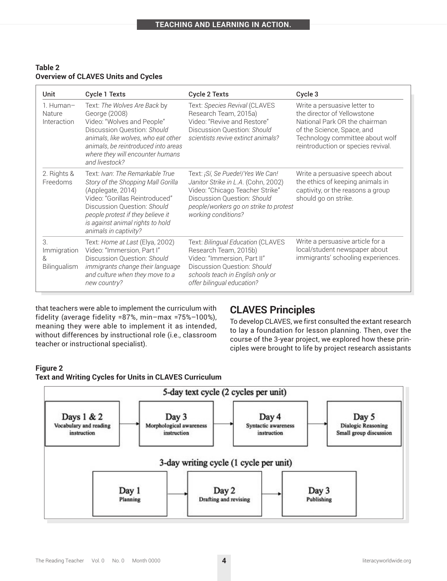#### **Table 2 Overview of CLAVES Units and Cycles**

| Unit                                  | <b>Cycle 1 Texts</b>                                                                                                                                                                                                                                          | Cycle 2 Texts                                                                                                                                                                                              | Cycle 3                                                                                                                                                                                             |
|---------------------------------------|---------------------------------------------------------------------------------------------------------------------------------------------------------------------------------------------------------------------------------------------------------------|------------------------------------------------------------------------------------------------------------------------------------------------------------------------------------------------------------|-----------------------------------------------------------------------------------------------------------------------------------------------------------------------------------------------------|
| 1. Human-<br>Nature<br>Interaction    | Text: The Wolves Are Back by<br>George (2008)<br>Video: "Wolves and People"<br>Discussion Question: Should<br>animals, like wolves, who eat other<br>animals, be reintroduced into areas<br>where they will encounter humans<br>and livestock?                | Text: Species Revival (CLAVES<br>Research Team, 2015a)<br>Video: "Revive and Restore"<br>Discussion Question: Should<br>scientists revive extinct animals?                                                 | Write a persuasive letter to<br>the director of Yellowstone<br>National Park OR the chairman<br>of the Science, Space, and<br>Technology committee about wolf<br>reintroduction or species revival. |
| 2. Rights &<br>Freedoms               | Text: Ivan: The Remarkable True<br>Story of the Shopping Mall Gorilla<br>(Applegate, 2014)<br>Video: "Gorillas Reintroduced"<br>Discussion Question: Should<br>people protest if they believe it<br>is against animal rights to hold<br>animals in captivity? | Text: ¡Sí, Se Puede!/Yes We Can!<br>Janitor Strike in L.A. (Cohn, 2002)<br>Video: "Chicago Teacher Strike"<br>Discussion Question: Should<br>people/workers go on strike to protest<br>working conditions? | Write a persuasive speech about<br>the ethics of keeping animals in<br>captivity, or the reasons a group<br>should go on strike.                                                                    |
| 3<br>Immigration<br>&<br>Bilingualism | Text: Home at Last (Elya, 2002)<br>Video: "Immersion, Part I"<br>Discussion Question: Should<br>immigrants change their language<br>and culture when they move to a<br>new country?                                                                           | Text: Bilingual Education (CLAVES<br>Research Team, 2015b)<br>Video: "Immersion, Part II"<br>Discussion Question: Should<br>schools teach in English only or<br>offer bilingual education?                 | Write a persuasive article for a<br>local/student newspaper about<br>immigrants' schooling experiences.                                                                                             |

that teachers were able to implement the curriculum with fidelity (average fidelity =87%, min–max =75%–100%), meaning they were able to implement it as intended, without differences by instructional role (i.e., classroom teacher or instructional specialist).

# **CLAVES Principles**

To develop CLAVES, we first consulted the extant research to lay a foundation for lesson planning. Then, over the course of the 3-year project, we explored how these principles were brought to life by project research assistants

## **Figure 2**



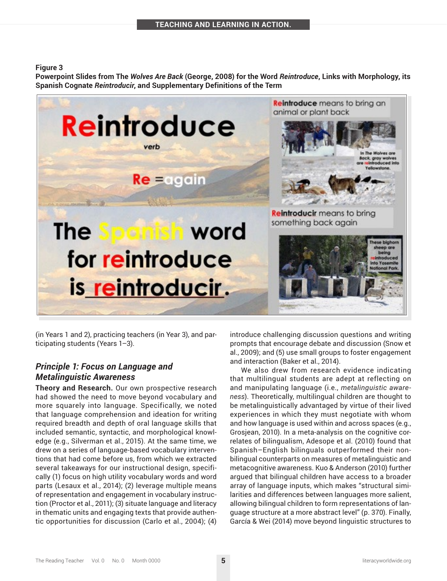#### **Figure 3**

**Powerpoint Slides from The** *Wolves Are Back* **(George, 2008) for the Word** *Reintroduce***, Links with Morphology, its Spanish Cognate** *Reintroducir***, and Supplementary Definitions of the Term**



(in Years 1 and 2), practicing teachers (in Year 3), and participating students (Years 1–3).

## *Principle 1: Focus on Language and Metalinguistic Awareness*

**Theory and Research.** Our own prospective research had showed the need to move beyond vocabulary and more squarely into language. Specifically, we noted that language comprehension and ideation for writing required breadth and depth of oral language skills that included semantic, syntactic, and morphological knowledge (e.g., Silverman et al., 2015). At the same time, we drew on a series of language-based vocabulary interventions that had come before us, from which we extracted several takeaways for our instructional design, specifically (1) focus on high utility vocabulary words and word parts (Lesaux et al., 2014); (2) leverage multiple means of representation and engagement in vocabulary instruction (Proctor et al., 2011); (3) situate language and literacy in thematic units and engaging texts that provide authentic opportunities for discussion (Carlo et al., 2004); (4)

introduce challenging discussion questions and writing prompts that encourage debate and discussion (Snow et al., 2009); and (5) use small groups to foster engagement and interaction (Baker et al., 2014).

We also drew from research evidence indicating that multilingual students are adept at reflecting on and manipulating language (i.e., *metalinguistic awareness*). Theoretically, multilingual children are thought to be metalinguistically advantaged by virtue of their lived experiences in which they must negotiate with whom and how language is used within and across spaces (e.g., Grosjean, 2010). In a meta-analysis on the cognitive correlates of bilingualism, Adesope et al. (2010) found that Spanish–English bilinguals outperformed their nonbilingual counterparts on measures of metalinguistic and metacognitive awareness. Kuo & Anderson (2010) further argued that bilingual children have access to a broader array of language inputs, which makes "structural similarities and differences between languages more salient, allowing bilingual children to form representations of language structure at a more abstract level" (p. 370). Finally, García & Wei (2014) move beyond linguistic structures to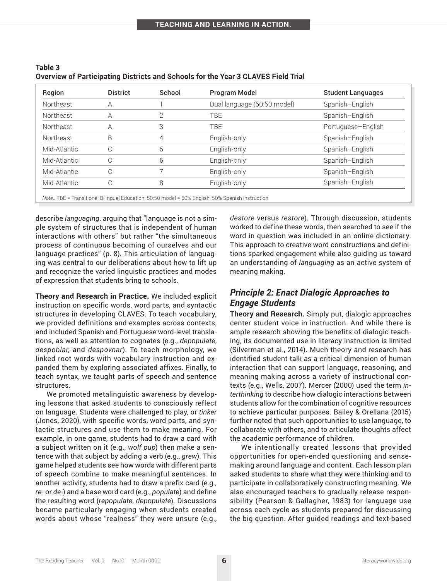| Region       | <b>District</b> | School | <b>Program Model</b>            | <b>Student Languages</b> |
|--------------|-----------------|--------|---------------------------------|--------------------------|
| Northeast    | A               |        | Dual language (50:50 model)     | Spanish-English          |
| Northeast    | А               |        | TBE                             | Spanish-English          |
| Northeast    | A               | 3      | <b>TBE</b>                      | Portuguese-English       |
| Northeast    | B               | 4      | English-only                    | Spanish-English          |
| Mid-Atlantic | С               | 5      | English-only                    | Spanish-English          |
| Mid-Atlantic |                 | 6      | Spanish-English<br>English-only |                          |
| Mid-Atlantic | C               |        | English-only                    | Spanish-English          |
| Mid-Atlantic | С               | 8      | English-only                    | Spanish-English          |

| Table 3                                                                           |
|-----------------------------------------------------------------------------------|
| Overview of Participating Districts and Schools for the Year 3 CLAVES Field Trial |

describe *languaging*, arguing that "language is not a simple system of structures that is independent of human interactions with others" but rather "the simultaneous process of continuous becoming of ourselves and our language practices" (p. 8). This articulation of languaging was central to our deliberations about how to lift up and recognize the varied linguistic practices and modes of expression that students bring to schools.

**Theory and Research in Practice.** We included explicit instruction on specific words, word parts, and syntactic structures in developing CLAVES. To teach vocabulary, we provided definitions and examples across contexts, and included Spanish and Portuguese word-level translations, as well as attention to cognates (e.g., *depopulate*, *despoblar*, and *despovoar*). To teach morphology, we linked root words with vocabulary instruction and expanded them by exploring associated affixes. Finally, to teach syntax, we taught parts of speech and sentence structures.

We promoted metalinguistic awareness by developing lessons that asked students to consciously reflect on language. Students were challenged to play, or *tinker* (Jones, 2020), with specific words, word parts, and syntactic structures and use them to make meaning. For example, in one game, students had to draw a card with a subject written on it (e.g., *wolf pup*) then make a sentence with that subject by adding a verb (e.g., *grew*). This game helped students see how words with different parts of speech combine to make meaningful sentences. In another activity, students had to draw a prefix card (e.g., *re*- or *de*-) and a base word card (e.g., *populate*) and define the resulting word (*repopulate*, *depopulate*). Discussions became particularly engaging when students created words about whose "realness" they were unsure (e.g.,

*destore* versus *restore*). Through discussion, students worked to define these words, then searched to see if the word in question was included in an online dictionary. This approach to creative word constructions and definitions sparked engagement while also guiding us toward an understanding of *languaging* as an active system of meaning making.

## *Principle 2: Enact Dialogic Approaches to Engage Students*

**Theory and Research.** Simply put, dialogic approaches center student voice in instruction. And while there is ample research showing the benefits of dialogic teaching, its documented use in literacy instruction is limited (Silverman et al., 2014). Much theory and research has identified student talk as a critical dimension of human interaction that can support language, reasoning, and meaning making across a variety of instructional contexts (e.g., Wells, 2007). Mercer (2000) used the term *interthinking* to describe how dialogic interactions between students allow for the combination of cognitive resources to achieve particular purposes. Bailey & Orellana (2015) further noted that such opportunities to use language, to collaborate with others, and to articulate thoughts affect the academic performance of children.

We intentionally created lessons that provided opportunities for open-ended questioning and sensemaking around language and content. Each lesson plan asked students to share what they were thinking and to participate in collaboratively constructing meaning. We also encouraged teachers to gradually release responsibility (Pearson & Gallagher, 1983) for language use across each cycle as students prepared for discussing the big question. After guided readings and text-based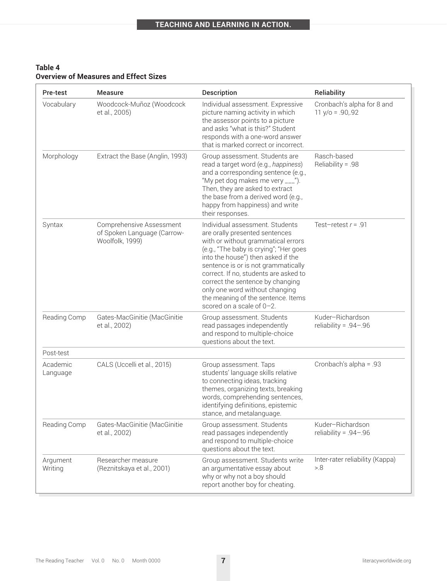| Table 4                                      |  |
|----------------------------------------------|--|
| <b>Overview of Measures and Effect Sizes</b> |  |

| Pre-test             | <b>Measure</b>                                                             | Description                                                                                                                                                                                                                                                                                                                                                                                                      | Reliability                                      |
|----------------------|----------------------------------------------------------------------------|------------------------------------------------------------------------------------------------------------------------------------------------------------------------------------------------------------------------------------------------------------------------------------------------------------------------------------------------------------------------------------------------------------------|--------------------------------------------------|
| Vocabulary           | Woodcock-Muñoz (Woodcock<br>et al., 2005)                                  | Individual assessment. Expressive<br>picture naming activity in which<br>the assessor points to a picture<br>and asks "what is this?" Student<br>responds with a one-word answer<br>that is marked correct or incorrect.                                                                                                                                                                                         | Cronbach's alpha for 8 and<br>$11 y/o = .90,.92$ |
| Morphology           | Extract the Base (Anglin, 1993)                                            | Group assessment. Students are<br>read a target word (e.g., happiness)<br>and a corresponding sentence (e.g.,<br>"My pet dog makes me very ___").<br>Then, they are asked to extract<br>the base from a derived word (e.g.,<br>happy from happiness) and write<br>their responses.                                                                                                                               | Rasch-based<br>Reliability = .98                 |
| Syntax               | Comprehensive Assessment<br>of Spoken Language (Carrow-<br>Woolfolk, 1999) | Individual assessment. Students<br>are orally presented sentences<br>with or without grammatical errors<br>(e.g., "The baby is crying"; "Her goes<br>into the house") then asked if the<br>sentence is or is not grammatically<br>correct. If no, students are asked to<br>correct the sentence by changing<br>only one word without changing<br>the meaning of the sentence. Items<br>scored on a scale of 0-2. | Test-retest $r = .91$                            |
| Reading Comp         | Gates-MacGinitie (MacGinitie<br>et al., 2002)                              | Group assessment. Students<br>read passages independently<br>and respond to multiple-choice<br>questions about the text.                                                                                                                                                                                                                                                                                         | Kuder-Richardson<br>reliability = $.94 - .96$    |
| Post-test            |                                                                            |                                                                                                                                                                                                                                                                                                                                                                                                                  |                                                  |
| Academic<br>Language | CALS (Uccelli et al., 2015)                                                | Cronbach's alpha = .93<br>Group assessment. Taps<br>students' language skills relative<br>to connecting ideas, tracking<br>themes, organizing texts, breaking<br>words, comprehending sentences,<br>identifying definitions, epistemic<br>stance, and metalanguage.                                                                                                                                              |                                                  |
| Reading Comp         | Gates-MacGinitie (MacGinitie<br>et al., 2002)                              | Group assessment. Students<br>read passages independently<br>and respond to multiple-choice<br>questions about the text.                                                                                                                                                                                                                                                                                         | Kuder-Richardson<br>reliability = $.94 - .96$    |
| Argument<br>Writing  | Researcher measure<br>(Reznitskaya et al., 2001)                           | Group assessment. Students write<br>an argumentative essay about<br>why or why not a boy should<br>report another boy for cheating.                                                                                                                                                                                                                                                                              | Inter-rater reliability (Kappa)<br>> 8           |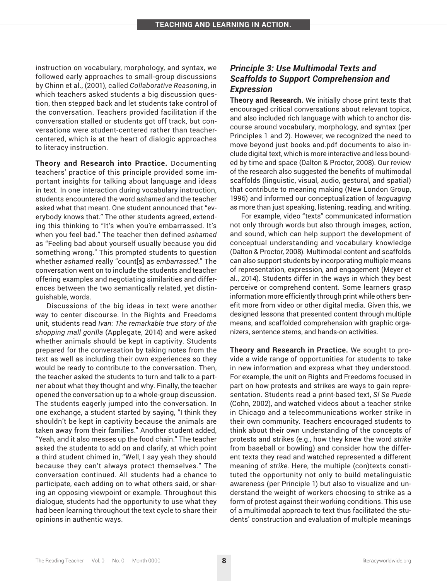instruction on vocabulary, morphology, and syntax, we followed early approaches to small-group discussions by Chinn et al., (2001), called *Collaborative Reasoning*, in which teachers asked students a big discussion question, then stepped back and let students take control of the conversation. Teachers provided facilitation if the conversation stalled or students got off track, but conversations were student-centered rather than teachercentered, which is at the heart of dialogic approaches to literacy instruction.

**Theory and Research into Practice.** Documenting teachers' practice of this principle provided some important insights for talking about language and ideas in text. In one interaction during vocabulary instruction, students encountered the word *ashamed* and the teacher asked what that meant. One student announced that "everybody knows that." The other students agreed, extending this thinking to "It's when you're embarrassed. It's when you feel bad." The teacher then defined *ashamed* as "Feeling bad about yourself usually because you did something wrong." This prompted students to question whether *ashamed* really "count[s] as *embarrassed*." The conversation went on to include the students and teacher offering examples and negotiating similarities and differences between the two semantically related, yet distinguishable, words.

Discussions of the big ideas in text were another way to center discourse. In the Rights and Freedoms unit, students read *Ivan*: *The remarkable true story of the shopping mall gorilla* (Applegate, 2014) and were asked whether animals should be kept in captivity. Students prepared for the conversation by taking notes from the text as well as including their own experiences so they would be ready to contribute to the conversation. Then, the teacher asked the students to turn and talk to a partner about what they thought and why. Finally, the teacher opened the conversation up to a whole-group discussion. The students eagerly jumped into the conversation. In one exchange, a student started by saying, "I think they shouldn't be kept in captivity because the animals are taken away from their families." Another student added, "Yeah, and it also messes up the food chain." The teacher asked the students to add on and clarify, at which point a third student chimed in, "Well, I say yeah they should because they can't always protect themselves." The conversation continued. All students had a chance to participate, each adding on to what others said, or sharing an opposing viewpoint or example. Throughout this dialogue, students had the opportunity to use what they had been learning throughout the text cycle to share their opinions in authentic ways.

## *Principle 3: Use Multimodal Texts and Scaffolds to Support Comprehension and Expression*

**Theory and Research.** We initially chose print texts that encouraged critical conversations about relevant topics, and also included rich language with which to anchor discourse around vocabulary, morphology, and syntax (per Principles 1 and 2). However, we recognized the need to move beyond just books and.pdf documents to also include digital text, which is more interactive and less bounded by time and space (Dalton & Proctor, 2008). Our review of the research also suggested the benefits of multimodal scaffolds (linguistic, visual, audio, gestural, and spatial) that contribute to meaning making (New London Group, 1996) and informed our conceptualization of *languaging* as more than just speaking, listening, reading, and writing.

For example, video "texts" communicated information not only through words but also through images, action, and sound, which can help support the development of conceptual understanding and vocabulary knowledge (Dalton & Proctor, 2008). Multimodal content and scaffolds can also support students by incorporating multiple means of representation, expression, and engagement (Meyer et al., 2014). Students differ in the ways in which they best perceive or comprehend content. Some learners grasp information more efficiently through print while others benefit more from video or other digital media. Given this, we designed lessons that presented content through multiple means, and scaffolded comprehension with graphic organizers, sentence stems, and hands-on activities.

**Theory and Research in Practice.** We sought to provide a wide range of opportunities for students to take in new information and express what they understood. For example, the unit on Rights and Freedoms focused in part on how protests and strikes are ways to gain representation. Students read a print-based text, *Sí Se Puede* (Cohn, 2002), and watched videos about a teacher strike in Chicago and a telecommunications worker strike in their own community. Teachers encouraged students to think about their own understanding of the concepts of protests and strikes (e.g., how they knew the word *strike* from baseball or bowling) and consider how the different texts they read and watched represented a different meaning of *strike*. Here, the multiple (con)texts constituted the opportunity not only to build metalinguistic awareness (per Principle 1) but also to visualize and understand the weight of workers choosing to strike as a form of protest against their working conditions. This use of a multimodal approach to text thus facilitated the students' construction and evaluation of multiple meanings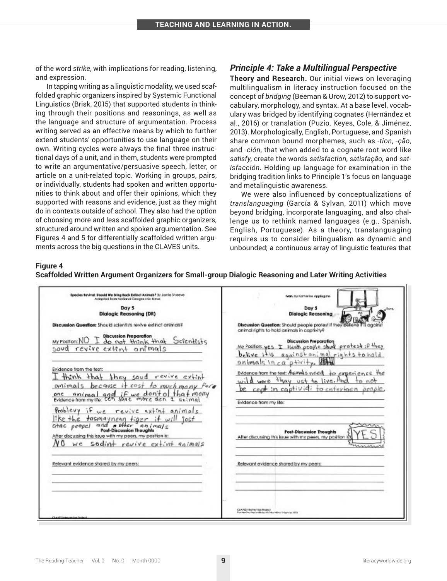of the word *strike*, with implications for reading, listening, and expression.

In tapping writing as a linguistic modality, we used scaffolded graphic organizers inspired by Systemic Functional Linguistics (Brisk, 2015) that supported students in thinking through their positions and reasonings, as well as the language and structure of argumentation. Process writing served as an effective means by which to further extend students' opportunities to use language on their own. Writing cycles were always the final three instructional days of a unit, and in them, students were prompted to write an argumentative/persuasive speech, letter, or article on a unit-related topic. Working in groups, pairs, or individually, students had spoken and written opportunities to think about and offer their opinions, which they supported with reasons and evidence, just as they might do in contexts outside of school. They also had the option of choosing more and less scaffolded graphic organizers, structured around written and spoken argumentation. See Figures 4 and 5 for differentially scaffolded written arguments across the big questions in the CLAVES units.

#### *Principle 4: Take a Multilingual Perspective*

**Theory and Research.** Our initial views on leveraging multilingualism in literacy instruction focused on the concept of *bridging* (Beeman & Urow, 2012) to support vocabulary, morphology, and syntax. At a base level, vocabulary was bridged by identifying cognates (Hernández et al., 2016) or translation (Puzio, Keyes, Cole, & Jiménez, 2013). Morphologically, English, Portuguese, and Spanish share common bound morphemes, such as -*tion*, -*ção*, and -*ción*, that when added to a cognate root word like *satisfy*, create the words *satisfaction*, *satisfação*, and *satisfacción*. Holding up language for examination in the bridging tradition links to Principle 1's focus on language and metalinguistic awareness.

We were also influenced by conceptualizations of *translanguaging* (García & Sylvan, 2011) which move beyond bridging, incorporate languaging, and also challenge us to rethink named languages (e.g., Spanish, English, Portuguese). As a theory, translanguaging requires us to consider bilingualism as dynamic and unbounded; a continuous array of linguistic features that

## **Figure 4**

|  |  | Scaffolded Written Argument Organizers for Small-group Dialogic Reasoning and Later Writing Activities |  |
|--|--|--------------------------------------------------------------------------------------------------------|--|
|  |  |                                                                                                        |  |

| Ivan, by Katherine Applegate<br>Day 5<br><b>Dialogic Reasoning</b>                                                                                                                             |
|------------------------------------------------------------------------------------------------------------------------------------------------------------------------------------------------|
| Discussion Question: Should people protest if they believe it<br>animal rights to hold animals in captivity?                                                                                   |
| <b>Discussion Preparation</b><br>My Position: yes I think people shird protest; P they<br>belive it's against animal rights to hold                                                            |
| animals in $ca$ $p$ +wity.<br>Evidence from the text: Animals need to experience the<br>wild were thay ust to live. And<br>be cent in captividi to entertoen prople,<br>Evidence from my life: |
| <b>Post-Discussion Thoughts</b><br>After discussing this issue with my peers, my position-                                                                                                     |
|                                                                                                                                                                                                |
| Relevant evidence shared by my peers:                                                                                                                                                          |
|                                                                                                                                                                                                |
| CLAYES Information Project                                                                                                                                                                     |
|                                                                                                                                                                                                |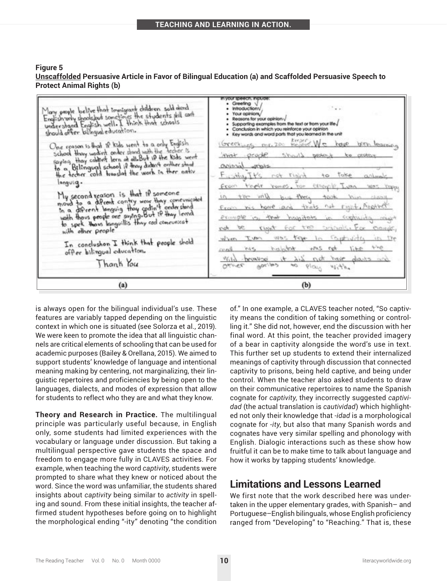| Figure 5                                                                                                |
|---------------------------------------------------------------------------------------------------------|
| Unscaffolded Persuasive Article in Favor of Bilingual Education (a) and Scaffolded Persuasive Speech to |
| <b>Protect Animal Rights (b)</b>                                                                        |

| Many people believ that terminary children sold dend<br>English only shools but sometimes the students still cant<br>should offer bilingual education.<br>One reason is that if kids went to a only English<br>School Havy wodin't onder stand with the fecher is<br>saying thay colder's lern at all But if the Kids went<br>to a Billingual school if thay didn't onther stood<br>the techer cold translat the work in ther nativ<br>languiq.<br>My second reason is that if someone<br>move to a different contry wear thay comevoicated<br>in a diffrent lenguig they codin't onder stond<br>wath thous people are saying But if they lenned<br>to spek. Thous languillis they cod concursedt<br>with other people<br>In conclushon I think that people shold<br>offer bilingual education.<br>Thanh You | VOLE SERVICEL ENGLISH<br>• Greefing V<br>$\cdot$ .<br><b>Infroduction/</b><br>Your coinions/<br>Reasons for your opinion ./<br>Supporting examples from the text or from your ite./<br>Conclusion in which you reinforce your opinion<br>. Key words and word parts that you learned in the unit<br>Greenings me. 200 keper. We have been learning<br>wat prope should protect to protect<br>stem foreign<br>Fighty It's not right to take anluals<br>From their romes, for essencie, Ivan was room<br>in the wild but they took him clany<br>From his home and thats not right, Another<br>example is that hospitals in supportion when<br>not be right for the signals. For example,<br>when I was vest for In Constructly in the<br>out and habitat totales and line<br>trip breakse it his not have darks and<br>$0$ <i>derec</i> $\theta_{06}, \mu_{2}$ so blon slift |
|--------------------------------------------------------------------------------------------------------------------------------------------------------------------------------------------------------------------------------------------------------------------------------------------------------------------------------------------------------------------------------------------------------------------------------------------------------------------------------------------------------------------------------------------------------------------------------------------------------------------------------------------------------------------------------------------------------------------------------------------------------------------------------------------------------------|----------------------------------------------------------------------------------------------------------------------------------------------------------------------------------------------------------------------------------------------------------------------------------------------------------------------------------------------------------------------------------------------------------------------------------------------------------------------------------------------------------------------------------------------------------------------------------------------------------------------------------------------------------------------------------------------------------------------------------------------------------------------------------------------------------------------------------------------------------------------------|
| (a)                                                                                                                                                                                                                                                                                                                                                                                                                                                                                                                                                                                                                                                                                                                                                                                                          | (b)                                                                                                                                                                                                                                                                                                                                                                                                                                                                                                                                                                                                                                                                                                                                                                                                                                                                        |

is always open for the bilingual individual's use. These features are variably tapped depending on the linguistic context in which one is situated (see Solorza et al., 2019). We were keen to promote the idea that all linguistic channels are critical elements of schooling that can be used for academic purposes (Bailey & Orellana, 2015). We aimed to support students' knowledge of language and intentional meaning making by centering, not marginalizing, their linguistic repertoires and proficiencies by being open to the languages, dialects, and modes of expression that allow for students to reflect who they are and what they know.

**Theory and Research in Practice.** The multilingual principle was particularly useful because, in English only, some students had limited experiences with the vocabulary or language under discussion. But taking a multilingual perspective gave students the space and freedom to engage more fully in CLAVES activities. For example, when teaching the word *captivity*, students were prompted to share what they knew or noticed about the word. Since the word was unfamiliar, the students shared insights about *captivity* being similar to *activity* in spelling and sound. From these initial insights, the teacher affirmed student hypotheses before going on to highlight the morphological ending "-ity" denoting "the condition of." In one example, a CLAVES teacher noted, "So captivity means the condition of taking something or controlling it." She did not, however, end the discussion with her final word. At this point, the teacher provided imagery of a bear in captivity alongside the word's use in text. This further set up students to extend their internalized meanings of captivity through discussion that connected captivity to prisons, being held captive, and being under control. When the teacher also asked students to draw on their communicative repertoires to name the Spanish cognate for *captivity*, they incorrectly suggested *captividad* (the actual translation is *cautividad*) which highlighted not only their knowledge that -*idad* is a morphological cognate for -*ity*, but also that many Spanish words and cognates have very similar spelling and phonology with English. Dialogic interactions such as these show how fruitful it can be to make time to talk about language and how it works by tapping students' knowledge.

# **Limitations and Lessons Learned**

We first note that the work described here was undertaken in the upper elementary grades, with Spanish– and Portuguese–English bilinguals, whose English proficiency ranged from "Developing" to "Reaching." That is, these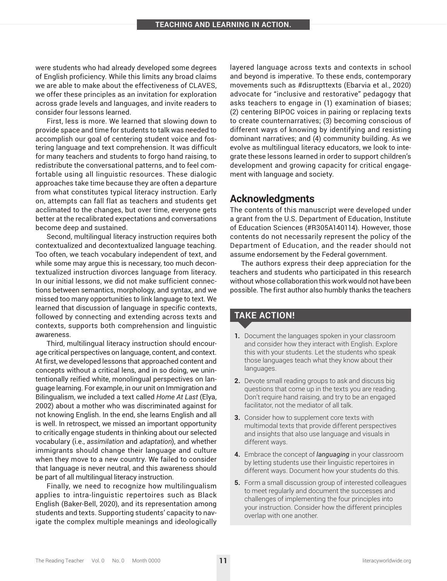were students who had already developed some degrees of English proficiency. While this limits any broad claims we are able to make about the effectiveness of CLAVES, we offer these principles as an invitation for exploration across grade levels and languages, and invite readers to consider four lessons learned.

First, less is more. We learned that slowing down to provide space and time for students to talk was needed to accomplish our goal of centering student voice and fostering language and text comprehension. It was difficult for many teachers and students to forgo hand raising, to redistribute the conversational patterns, and to feel comfortable using all linguistic resources. These dialogic approaches take time because they are often a departure from what constitutes typical literacy instruction. Early on, attempts can fall flat as teachers and students get acclimated to the changes, but over time, everyone gets better at the recalibrated expectations and conversations become deep and sustained.

Second, multilingual literacy instruction requires both contextualized and decontextualized language teaching. Too often, we teach vocabulary independent of text, and while some may argue this is necessary, too much decontextualized instruction divorces language from literacy. In our initial lessons, we did not make sufficient connections between semantics, morphology, and syntax, and we missed too many opportunities to link language to text. We learned that discussion of language in specific contexts, followed by connecting and extending across texts and contexts, supports both comprehension and linguistic awareness.

Third, multilingual literacy instruction should encourage critical perspectives on language, content, and context. At first, we developed lessons that approached content and concepts without a critical lens, and in so doing, we unintentionally reified white, monolingual perspectives on language learning. For example, in our unit on Immigration and Bilingualism, we included a text called *Home At Last* (Elya, 2002) about a mother who was discriminated against for not knowing English. In the end, she learns English and all is well. In retrospect, we missed an important opportunity to critically engage students in thinking about our selected vocabulary (i.e., *assimilation* and *adaptation*), and whether immigrants should change their language and culture when they move to a new country. We failed to consider that language is never neutral, and this awareness should be part of all multilingual literacy instruction.

Finally, we need to recognize how multilingualism applies to intra-linguistic repertoires such as Black English (Baker-Bell, 2020), and its representation among students and texts. Supporting students' capacity to navigate the complex multiple meanings and ideologically layered language across texts and contexts in school and beyond is imperative. To these ends, contemporary movements such as #disrupttexts (Ebarvia et al., 2020) advocate for "inclusive and restorative" pedagogy that asks teachers to engage in (1) examination of biases; (2) centering BIPOC voices in pairing or replacing texts to create counternarratives; (3) becoming conscious of different ways of knowing by identifying and resisting dominant narratives; and (4) community building. As we evolve as multilingual literacy educators, we look to integrate these lessons learned in order to support children's development and growing capacity for critical engagement with language and society.

# **Acknowledgments**

The contents of this manuscript were developed under a grant from the U.S. Department of Education, Institute of Education Sciences (#R305A140114). However, those contents do not necessarily represent the policy of the Department of Education, and the reader should not assume endorsement by the Federal government.

The authors express their deep appreciation for the teachers and students who participated in this research without whose collaboration this work would not have been possible. The first author also humbly thanks the teachers

## **TAKE ACTION!**

- **1.** Document the languages spoken in your classroom and consider how they interact with English. Explore this with your students. Let the students who speak those languages teach what they know about their languages.
- **2.** Devote small reading groups to ask and discuss big questions that come up in the texts you are reading. Don't require hand raising, and try to be an engaged facilitator, not the mediator of all talk.
- **3.** Consider how to supplement core texts with multimodal texts that provide different perspectives and insights that also use language and visuals in different ways.
- **4.** Embrace the concept of *languaging* in your classroom by letting students use their linguistic repertoires in different ways. Document how your students do this.
- **5.** Form a small discussion group of interested colleagues to meet regularly and document the successes and challenges of implementing the four principles into your instruction. Consider how the different principles overlap with one another.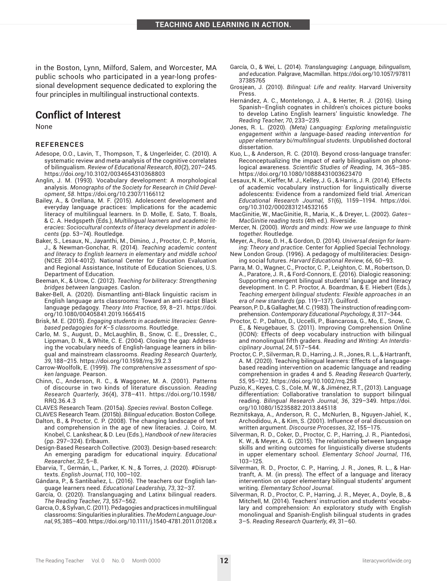in the Boston, Lynn, Milford, Salem, and Worcester, MA public schools who participated in a year-long professional development sequence dedicated to exploring the four principles in multilingual instructional contexts.

# **Conflict of Interest**

None

#### **REFERENCES**

- Adesope, O.O., Lavin, T., Thompson, T., & Ungerleider, C. (2010). A systematic review and meta-analysis of the cognitive correlates of bilingualism. *Review of Educational Research*, *80*(2), 207–245. <https://doi.org/10.3102/0034654310368803>
- Anglin, J. M. (1993). Vocabulary development: A morphological analysis. *Monographs of the Society for Research in Child Development*, *58*.<https://doi.org/10.2307/1166112>
- Bailey, A., & Orellana, M. F. (2015). Adolescent development and everyday language practices: Implications for the academic literacy of multilingual learners. In D. Molle, E. Sato, T. Boals, & C. A. Hedgspeth (Eds.), *Multilingual learners and academic literacies: Sociocultural contexts of literacy development in adolescents* (pp. 53–74). Routledge.
- Baker, S., Lesaux, N., Jayanthi, M., Dimino, J., Proctor, C. P., Morris, J., & Newman-Gonchar, R. (2014). *Teaching academic content and literacy to English learners in elementary and middle school* (NCEE 2014-4012). National Center for Education Evaluation and Regional Assistance, Institute of Education Sciences, U.S. Department of Education.
- Beeman, K., & Urow, C. (2012). *Teaching for biliteracy: Strengthening bridges between languages*. Caslon.
- Baker-Bell, A. (2020). Dismantling anti-Black linguistic racism in English language arts classrooms: Toward an anti-racist Black language pedagogy. *Theory Into Practice*, *59*, 8–21. [https://doi.](https://doi.org/10.1080/00405841.2019.1665415) [org/10.1080/00405841.2019.1665415](https://doi.org/10.1080/00405841.2019.1665415)
- Brisk, M. E. (2015). *Engaging students in academic literacies: Genrebased pedagogies for K–5 classrooms*. Routledge.
- Carlo, M. S., August, D., McLaughlin, B., Snow, C. E., Dressler, C., Lippman, D. N., & White, C. E. (2004). Closing the gap: Addressing the vocabulary needs of English-language learners in bilingual and mainstream classrooms. *Reading Research Quarterly*, *39*, 188–215. <https://doi.org/10.1598/rrq.39.2.3>
- Carrow-Woolfolk, E. (1999). *The comprehensive assessment of spoken language*. Pearson.
- Chinn, C., Anderson, R. C., & Waggoner, M. A. (2001). Patterns of discourse in two kinds of literature discussion. *Reading Research Quarterly*, *36*(4), 378–411. [https://doi.org/10.1598/](https://doi.org/10.1598/RRQ.36.4.3) [RRQ.36.4.3](https://doi.org/10.1598/RRQ.36.4.3)
- CLAVES Research Team. (2015a). *Species revival*. Boston College.

CLAVES Research Team. (2015b). *Bilingual education*. Boston College. Dalton, B., & Proctor, C. P. (2008). The changing landscape of text

- and comprehension in the age of new literacies. J. Coiro, M. Knobel, C. Lankshear, & D. Leu (Eds.), *Handbook of new literacies* (pp. 297–324). Erlbaum.
- Design-Based Research Collective. (2003). Design-based research: An emerging paradigm for educational inquiry. *Educational Researcher*, *32*, 5–8.
- Ebarvia, T., Germán, L., Parker, K. N., & Torres, J. (2020). #Disrupttexts. *English Journal*, *110*, 100–102.
- Gándara, P., & Santibañez, L. (2016). The teachers our English language learners need. *Educational Leadership*, *73*, 32–37.
- García, O. (2020). Translanguaging and Latinx bilingual readers. *The Reading Teacher*, *73*, 557–562.
- Garcıa, O., & Sylvan, C. (2011). Pedagogies and practices in multilingual classrooms: Singularities in pluralities. *The Modern Language Journal*, *95*, 385–400.<https://doi.org/10.1111/j.1540-4781.2011.01208.x>
- García, O., & Wei, L. (2014). *Translanguaging: Language, bilingualism, and education*. Palgrave, Macmillan. [https://doi.org/10.1057/97811](https://doi.org/10.1057/9781137385765) [37385765](https://doi.org/10.1057/9781137385765)
- Grosjean, J. (2010). *Bilingual: Life and reality*. Harvard University Press.
- Hernández, A. C., Montelongo, J. A., & Herter, R. J. (2016). Using Spanish–English cognates in children's choices picture books to develop Latino English learners' linguistic knowledge. *The Reading Teacher*, *70*, 233–239.
- Jones, R. L. (2020). *(Meta) Languaging: Exploring metalinguistic engagement within a language-based reading intervention for upper elementary bi/multilingual students*. Unpublished doctoral dissertation.
- Kuo, L., & Anderson, R. C. (2010). Beyond cross-language transfer: Reconceptualizing the impact of early bilingualism on phonological awareness. *Scientific Studies of Reading*, *14*, 365–385. <https://doi.org/10.1080/10888431003623470>
- Lesaux, N. K., Kieffer, M. J., Kelley, J. G., & Harris, J. R. (2014). Effects of academic vocabulary instruction for linguistically diverse adolescents: Evidence from a randomized field trial. *American Educational Research Journal*, *51*(6), 1159–1194. [https://doi.](https://doi.org/10.3102/0002831214532165) [org/10.3102/0002831214532165](https://doi.org/10.3102/0002831214532165)
- MacGinitie, W., MacGinitie, R., Maria, K., & Dreyer, L. (2002). *Gates– MacGinitie reading tests* (4th ed.). Riverside.
- Mercer, N. (2000). *Words and minds: How we use language to think together*. Routledge.
- Meyer, A., Rose, D. H., & Gordon, D. (2014). *Universal design for learning: Theory and practice*. Center for Applied Special Technology.
- New London Group. (1996). A pedagogy of multiliteracies: Designing social futures. *Harvard Educational Review*, *66*, 60–93.
- Parra, M. O., Wagner, C., Proctor, C. P., Leighton, C. M., Robertson, D. A., Paratore, J. R., & Ford-Connors, E. (2016). Dialogic reasoning: Supporting emergent bilingual students' language and literacy development. In C. P. Proctor, A. Boardman, & E. Hiebert (Eds.), *Teaching emergent bilingual students: Flexible approaches in an era of new standards* (pp. 119–137). Guilford.
- Pearson, P. D., & Gallagher, M. C. (1983). The instruction of reading comprehension. *Contemporary Educational Psychology*, *8*, 317–344.
- Proctor, C. P., Dalton, D., Uccelli, P., Biancarosa, G., Mo, E., Snow, C. E., & Neugebauer, S. (2011). Improving Comprehension Online (ICON): Effects of deep vocabulary instruction with bilingual and monolingual fifth graders. *Reading and Writing: An Interdisciplinary Journal*, *24*, 517–544.
- Proctor, C. P., Silverman, R. D., Harring, J. R., Jones, R. L., & Hartranft, A. M. (2020). Teaching bilingual learners: Effects of a languagebased reading intervention on academic language and reading comprehension in grades 4 and 5. *Reading Research Quarterly*, *55*, 95–122.<https://doi.org/10.1002/rrq.258>
- Puzio, K., Keyes, C. S., Cole, M. W., & Jiménez, R.T., (2013). Language differentiation: Collaborative translation to support bilingual reading. *Bilingual Research Journal*, *36*, 329–349. [https://doi.](https://doi.org/10.1080/15235882.2013.845118) [org/10.1080/15235882.2013.845118](https://doi.org/10.1080/15235882.2013.845118)
- Reznitskaya, A., Anderson, R. C., McNurlen, B., Nguyen-Jahiel, K., Archodidou, A., & Kim, S. (2001). Influence of oral discussion on written argument. *Discourse Processes*, *32*, 155–175.
- Silverman, R. D., Coker, D., Proctor, C. P., Harring, J. R., Piantedosi, K. W., & Meyer, A. G. (2015). The relationship between language skills and writing outcomes for linguistically diverse students in upper elementary school. *Elementary School Journal*, *116*, 103–125.
- Silverman, R. D., Proctor, C. P., Harring, J. R., Jones, R. L., & Hartranft, A. M. (in press). The effect of a language and literacy intervention on upper elementary bilingual students' argument writing. *Elementary School Journal*.
- Silverman, R. D., Proctor, C. P., Harring, J. R., Meyer, A., Doyle, B., & Mitchell, M. (2014). Teachers' instruction and students' vocabulary and comprehension: An exploratory study with English monolingual and Spanish-English bilingual students in grades 3–5. *Reading Research Quarterly*, *49*, 31–60.